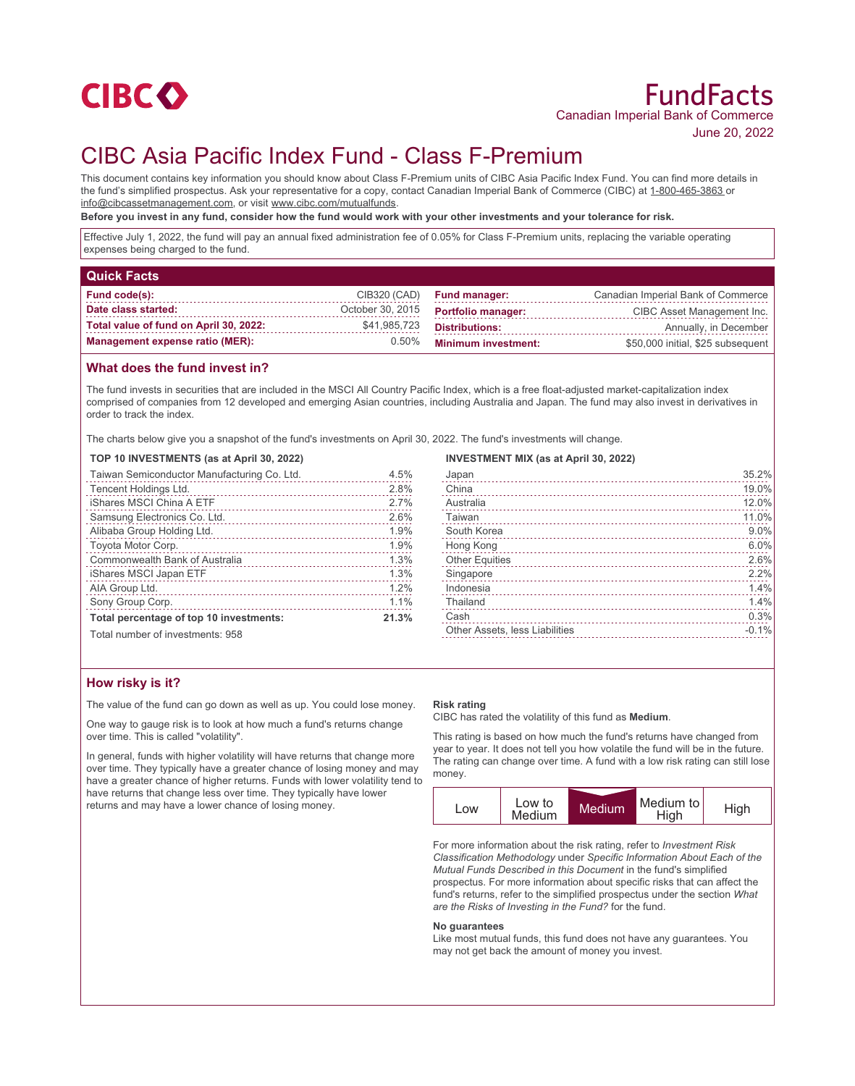

# CIBC Asia Pacific Index Fund - Class F-Premium

This document contains key information you should know about Class F-Premium units of CIBC Asia Pacific Index Fund. You can find more details in the fund's simplified prospectus. Ask your representative for a copy, contact Canadian Imperial Bank of Commerce (CIBC) at 1-800-465-3863 or info@cibcassetmanagement.com, or visit www.cibc.com/mutualfunds.

**Before you invest in any fund, consider how the fund would work with your other investments and your tolerance for risk.**

Effective July 1, 2022, the fund will pay an annual fixed administration fee of 0.05% for Class F-Premium units, replacing the variable operating expenses being charged to the fund.

| <b>Quick Facts</b>                     |                  |                            |                                    |
|----------------------------------------|------------------|----------------------------|------------------------------------|
| Fund code(s):                          | CIB320 (CAD)     | <b>Fund manager:</b>       | Canadian Imperial Bank of Commerce |
| Date class started:                    | October 30, 2015 | <b>Portfolio manager:</b>  | CIBC Asset Management Inc.         |
| Total value of fund on April 30, 2022: | \$41,985,723     | <b>Distributions:</b>      | Annually, in December              |
| <b>Management expense ratio (MER):</b> | 0.50%            | <b>Minimum investment:</b> | \$50,000 initial, \$25 subsequent  |

## **What does the fund invest in?**

The fund invests in securities that are included in the MSCI All Country Pacific Index, which is a free float-adjusted market-capitalization index comprised of companies from 12 developed and emerging Asian countries, including Australia and Japan. The fund may also invest in derivatives in order to track the index.

The charts below give you a snapshot of the fund's investments on April 30, 2022. The fund's investments will change.

#### **TOP 10 INVESTMENTS (as at April 30, 2022)**

| Taiwan Semiconductor Manufacturing Co. Ltd. | 4.5%  |
|---------------------------------------------|-------|
| Tencent Holdings Ltd.                       | 2.8%  |
| iShares MSCI China A ETF                    | 2.7%  |
| Samsung Electronics Co. Ltd.                | 2.6%  |
| Alibaba Group Holding Ltd.                  | 1.9%  |
| Toyota Motor Corp.                          | 1.9%  |
| Commonwealth Bank of Australia              | 1.3%  |
| iShares MSCI Japan ETF                      | 1.3%  |
| AIA Group Ltd.                              | 1.2%  |
| Sony Group Corp.                            | 1.1%  |
| Total percentage of top 10 investments:     | 21.3% |

## **INVESTMENT MIX (as at April 30, 2022)**

| Japan                                 | 35.2%   |
|---------------------------------------|---------|
| China                                 | 19.0%   |
| Australia                             | 12.0%   |
| Taiwan                                | 11.0%   |
| South Korea                           | 9.0%    |
| Hong Kong                             | 6.0%    |
| <b>Other Equities</b>                 | 2.6%    |
| Singapore                             | 2.2%    |
| Indonesia                             | 1.4%    |
| Thailand                              | 1.4%    |
| Cash                                  | 0.3%    |
| <b>Other Assets, less Liabilities</b> | $-0.1%$ |
|                                       |         |

# Total number of investments: 958

# **How risky is it?**

The value of the fund can go down as well as up. You could lose money.

One way to gauge risk is to look at how much a fund's returns change over time. This is called "volatility".

In general, funds with higher volatility will have returns that change more over time. They typically have a greater chance of losing money and may have a greater chance of higher returns. Funds with lower volatility tend to have returns that change less over time. They typically have lower returns and may have a lower chance of losing money.

#### **Risk rating**

CIBC has rated the volatility of this fund as **Medium**.

This rating is based on how much the fund's returns have changed from year to year. It does not tell you how volatile the fund will be in the future. The rating can change over time. A fund with a low risk rating can still lose money.



For more information about the risk rating, refer to *Investment Risk Classification Methodology* under *Specific Information About Each of the Mutual Funds Described in this Document* in the fund's simplified prospectus. For more information about specific risks that can affect the fund's returns, refer to the simplified prospectus under the section *What are the Risks of Investing in the Fund?* for the fund.

#### **No guarantees**

Like most mutual funds, this fund does not have any guarantees. You may not get back the amount of money you invest.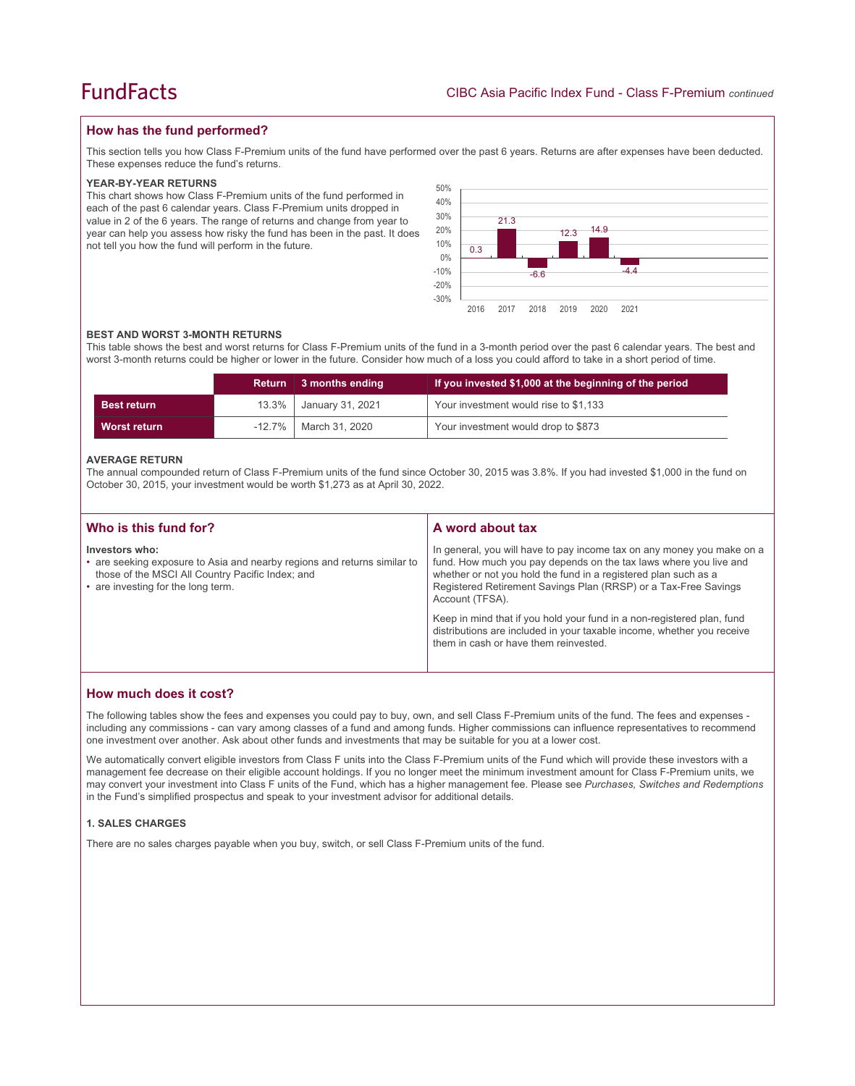# **How has the fund performed?**

This section tells you how Class F-Premium units of the fund have performed over the past 6 years. Returns are after expenses have been deducted. These expenses reduce the fund's returns.

#### **YEAR-BY-YEAR RETURNS**

This chart shows how Class F-Premium units of the fund performed in each of the past 6 calendar years. Class F-Premium units dropped in value in 2 of the 6 years. The range of returns and change from year to year can help you assess how risky the fund has been in the past. It does not tell you how the fund will perform in the future.



#### **BEST AND WORST 3-MONTH RETURNS**

This table shows the best and worst returns for Class F-Premium units of the fund in a 3-month period over the past 6 calendar years. The best and worst 3-month returns could be higher or lower in the future. Consider how much of a loss you could afford to take in a short period of time.

|                    |       | Return 3 months ending  | If you invested \$1,000 at the beginning of the period |
|--------------------|-------|-------------------------|--------------------------------------------------------|
| <b>Best return</b> | 13.3% | January 31, 2021        | Your investment would rise to \$1,133                  |
| Worst return       |       | -12.7%   March 31, 2020 | Your investment would drop to \$873                    |

#### **AVERAGE RETURN**

The annual compounded return of Class F-Premium units of the fund since October 30, 2015 was 3.8%. If you had invested \$1,000 in the fund on October 30, 2015, your investment would be worth \$1,273 as at April 30, 2022.

| Who is this fund for?                                                                                                                                                                | A word about tax                                                                                                                                                                                                                                                                                     |  |
|--------------------------------------------------------------------------------------------------------------------------------------------------------------------------------------|------------------------------------------------------------------------------------------------------------------------------------------------------------------------------------------------------------------------------------------------------------------------------------------------------|--|
| Investors who:<br>• are seeking exposure to Asia and nearby regions and returns similar to<br>those of the MSCI All Country Pacific Index; and<br>• are investing for the long term. | In general, you will have to pay income tax on any money you make on a<br>fund. How much you pay depends on the tax laws where you live and<br>whether or not you hold the fund in a registered plan such as a<br>Registered Retirement Savings Plan (RRSP) or a Tax-Free Savings<br>Account (TFSA). |  |
|                                                                                                                                                                                      | Keep in mind that if you hold your fund in a non-registered plan, fund<br>distributions are included in your taxable income, whether you receive<br>them in cash or have them reinvested.                                                                                                            |  |

### **How much does it cost?**

The following tables show the fees and expenses you could pay to buy, own, and sell Class F-Premium units of the fund. The fees and expenses including any commissions - can vary among classes of a fund and among funds. Higher commissions can influence representatives to recommend one investment over another. Ask about other funds and investments that may be suitable for you at a lower cost.

We automatically convert eligible investors from Class F units into the Class F-Premium units of the Fund which will provide these investors with a management fee decrease on their eligible account holdings. If you no longer meet the minimum investment amount for Class F-Premium units, we may convert your investment into Class F units of the Fund, which has a higher management fee. Please see *Purchases, Switches and Redemptions* in the Fund's simplified prospectus and speak to your investment advisor for additional details.

#### **1. SALES CHARGES**

There are no sales charges payable when you buy, switch, or sell Class F-Premium units of the fund.